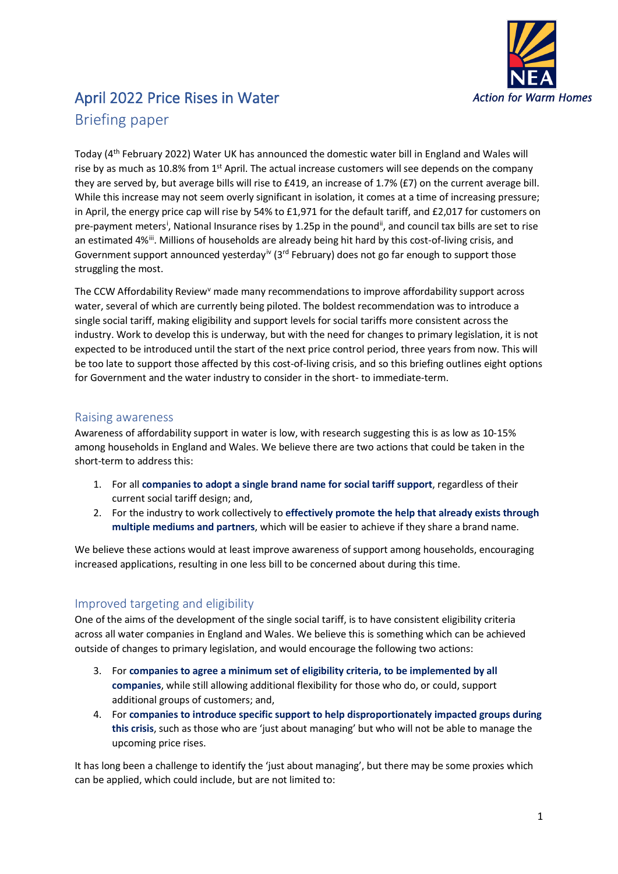

# April 2022 Price Rises in Water Briefing paper

Today (4<sup>th</sup> February 2022) Water UK has announced the domestic water bill in England and Wales will rise by as much as 10.8% from 1<sup>st</sup> April. The actual increase customers will see depends on the company they are served by, but average bills will rise to £419, an increase of 1.7% (£7) on the current average bill. While this increase may not seem overly significant in isolation, it comes at a time of increasing pressure; in April, the energy price cap will rise by 54% to £1,971 for the default tariff, and £2,017 for customers on pre-payment meters<sup>[i](#page-1-0)</sup>, National Insurance rises by 1.25p in the pound<sup>[ii](#page-1-1)</sup>, and council tax bills are set to rise an estimated 4%<sup>[iii](#page-1-2)</sup>. Millions of households are already being hit hard by this cost-of-living crisis, and Government support announced yesterday<sup>[iv](#page-1-3)</sup> (3<sup>rd</sup> February) does not go far enough to support those struggling the most.

The CCW Affordability Re[v](#page-1-4)iew<sup>v</sup> made many recommendations to improve affordability support across water, several of which are currently being piloted. The boldest recommendation was to introduce a single social tariff, making eligibility and support levels for social tariffs more consistent acrossthe industry. Work to develop this is underway, but with the need for changes to primary legislation, it is not expected to be introduced until the start of the next price control period, three years from now. This will be too late to support those affected by this cost-of-living crisis, and so this briefing outlines eight options for Government and the water industry to consider in the short- to immediate-term.

## Raising awareness

Awareness of affordability support in water is low, with research suggesting this is as low as 10-15% among households in England and Wales. We believe there are two actions that could be taken in the short-term to address this:

- 1. For all **companies to adopt a single brand name for social tariff support**, regardless of their current social tariff design; and,
- 2. For the industry to work collectively to **effectively promote the help that already exists through multiple mediums and partners**, which will be easier to achieve if they share a brand name.

We believe these actions would at least improve awareness of support among households, encouraging increased applications, resulting in one less bill to be concerned about during this time.

## Improved targeting and eligibility

One of the aims of the development of the single social tariff, is to have consistent eligibility criteria across all water companies in England and Wales. We believe this is something which can be achieved outside of changes to primary legislation, and would encourage the following two actions:

- 3. For **companies to agree a minimum set of eligibility criteria, to be implemented by all companies**, while still allowing additional flexibility for those who do, or could, support additional groups of customers; and,
- 4. For **companies to introduce specific support to help disproportionately impacted groups during this crisis**, such as those who are 'just about managing' but who will not be able to manage the upcoming price rises.

It has long been a challenge to identify the 'just about managing', but there may be some proxies which can be applied, which could include, but are not limited to: